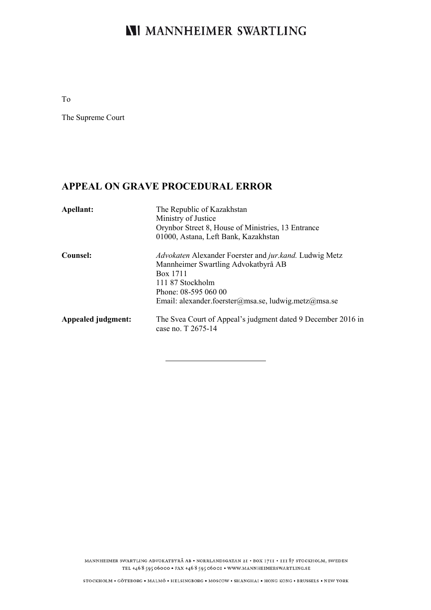# **NI MANNHEIMER SWARTLING**

To

The Supreme Court

## **APPEAL ON GRAVE PROCEDURAL ERROR**

| Apellant:          | The Republic of Kazakhstan<br>Ministry of Justice<br>Orynbor Street 8, House of Ministries, 13 Entrance<br>01000, Astana, Left Bank, Kazakhstan                                                               |
|--------------------|---------------------------------------------------------------------------------------------------------------------------------------------------------------------------------------------------------------|
| Counsel:           | Advokaten Alexander Foerster and jur.kand. Ludwig Metz<br>Mannheimer Swartling Advokatbyrå AB<br>Box 1711<br>111 87 Stockholm<br>Phone: 08-595 060 00<br>Email: alexander.foerster@msa.se, ludwig.metz@msa.se |
| Appealed judgment: | The Svea Court of Appeal's judgment dated 9 December 2016 in<br>case no. T 2675-14                                                                                                                            |

MANNHEIMER SWARTLING ADVOKATBYRÅ AB · NORRLANDSGATAN 2I · BOX 1711 · III 87 STOCKHOLM, SWEDEN TEL +46 8 595 06000 • FAX +46 8 595 06001 • WWW.MANNHEIMERSWARTLING.SE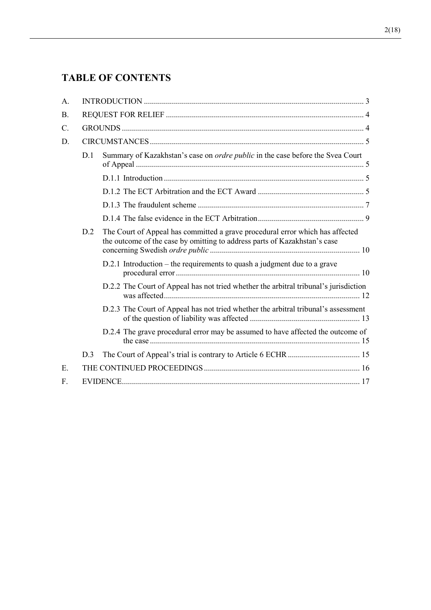# **TABLE OF CONTENTS**

| A.              |     |                                                                                                                                                            |  |
|-----------------|-----|------------------------------------------------------------------------------------------------------------------------------------------------------------|--|
| <b>B.</b>       |     |                                                                                                                                                            |  |
| $\mathcal{C}$ . |     |                                                                                                                                                            |  |
| D.              |     |                                                                                                                                                            |  |
|                 | D.1 | Summary of Kazakhstan's case on <i>ordre public</i> in the case before the Svea Court                                                                      |  |
|                 |     |                                                                                                                                                            |  |
|                 |     |                                                                                                                                                            |  |
|                 |     |                                                                                                                                                            |  |
|                 |     |                                                                                                                                                            |  |
| D.2<br>D.3      |     | The Court of Appeal has committed a grave procedural error which has affected<br>the outcome of the case by omitting to address parts of Kazakhstan's case |  |
|                 |     | D.2.1 Introduction - the requirements to quash a judgment due to a grave                                                                                   |  |
|                 |     | D.2.2 The Court of Appeal has not tried whether the arbitral tribunal's jurisdiction                                                                       |  |
|                 |     | D.2.3 The Court of Appeal has not tried whether the arbitral tribunal's assessment                                                                         |  |
|                 |     | D.2.4 The grave procedural error may be assumed to have affected the outcome of                                                                            |  |
|                 |     |                                                                                                                                                            |  |
| Ε.              |     |                                                                                                                                                            |  |
| F.              |     |                                                                                                                                                            |  |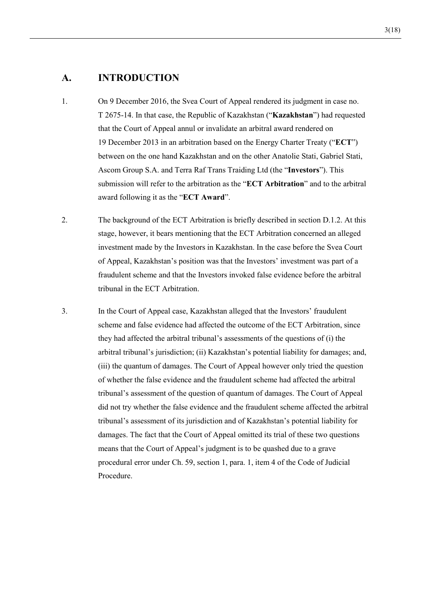### **A. INTRODUCTION**

- 1. On 9 December 2016, the Svea Court of Appeal rendered its judgment in case no. T 2675-14. In that case, the Republic of Kazakhstan ("**Kazakhstan**") had requested that the Court of Appeal annul or invalidate an arbitral award rendered on 19 December 2013 in an arbitration based on the Energy Charter Treaty ("**ECT**") between on the one hand Kazakhstan and on the other Anatolie Stati, Gabriel Stati, Ascom Group S.A. and Terra Raf Trans Traiding Ltd (the "**Investors**"). This submission will refer to the arbitration as the "**ECT Arbitration**" and to the arbitral award following it as the "**ECT Award**".
- 2. The background of the ECT Arbitration is briefly described in section D.1.2. At this stage, however, it bears mentioning that the ECT Arbitration concerned an alleged investment made by the Investors in Kazakhstan. In the case before the Svea Court of Appeal, Kazakhstan's position was that the Investors' investment was part of a fraudulent scheme and that the Investors invoked false evidence before the arbitral tribunal in the ECT Arbitration.
- 3. In the Court of Appeal case, Kazakhstan alleged that the Investors' fraudulent scheme and false evidence had affected the outcome of the ECT Arbitration, since they had affected the arbitral tribunal's assessments of the questions of (i) the arbitral tribunal's jurisdiction; (ii) Kazakhstan's potential liability for damages; and, (iii) the quantum of damages. The Court of Appeal however only tried the question of whether the false evidence and the fraudulent scheme had affected the arbitral tribunal's assessment of the question of quantum of damages. The Court of Appeal did not try whether the false evidence and the fraudulent scheme affected the arbitral tribunal's assessment of its jurisdiction and of Kazakhstan's potential liability for damages. The fact that the Court of Appeal omitted its trial of these two questions means that the Court of Appeal's judgment is to be quashed due to a grave procedural error under Ch. 59, section 1, para. 1, item 4 of the Code of Judicial Procedure.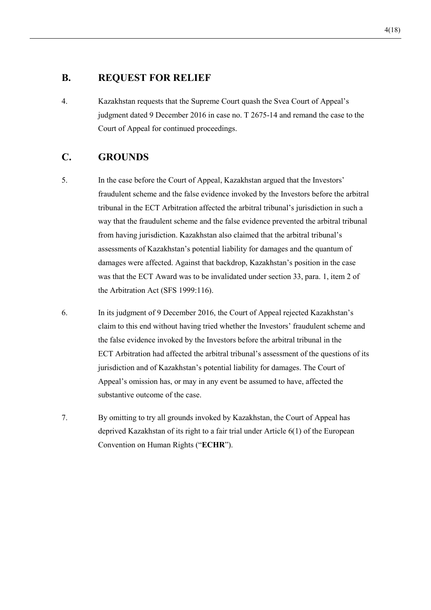### **B. REQUEST FOR RELIEF**

4. Kazakhstan requests that the Supreme Court quash the Svea Court of Appeal's judgment dated 9 December 2016 in case no. T 2675-14 and remand the case to the Court of Appeal for continued proceedings.

## **C. GROUNDS**

- 5. In the case before the Court of Appeal, Kazakhstan argued that the Investors' fraudulent scheme and the false evidence invoked by the Investors before the arbitral tribunal in the ECT Arbitration affected the arbitral tribunal's jurisdiction in such a way that the fraudulent scheme and the false evidence prevented the arbitral tribunal from having jurisdiction. Kazakhstan also claimed that the arbitral tribunal's assessments of Kazakhstan's potential liability for damages and the quantum of damages were affected. Against that backdrop, Kazakhstan's position in the case was that the ECT Award was to be invalidated under section 33, para. 1, item 2 of the Arbitration Act (SFS 1999:116).
- 6. In its judgment of 9 December 2016, the Court of Appeal rejected Kazakhstan's claim to this end without having tried whether the Investors' fraudulent scheme and the false evidence invoked by the Investors before the arbitral tribunal in the ECT Arbitration had affected the arbitral tribunal's assessment of the questions of its jurisdiction and of Kazakhstan's potential liability for damages. The Court of Appeal's omission has, or may in any event be assumed to have, affected the substantive outcome of the case.
- 7. By omitting to try all grounds invoked by Kazakhstan, the Court of Appeal has deprived Kazakhstan of its right to a fair trial under Article 6(1) of the European Convention on Human Rights ("**ECHR**").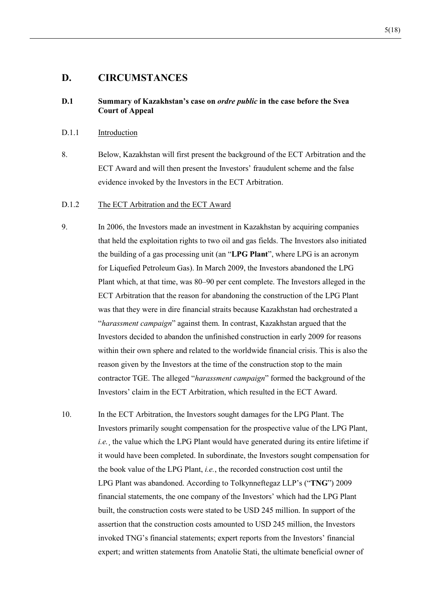### **D. CIRCUMSTANCES**

#### **D.1 Summary of Kazakhstan's case on** *ordre public* **in the case before the Svea Court of Appeal**

#### D.1.1 Introduction

8. Below, Kazakhstan will first present the background of the ECT Arbitration and the ECT Award and will then present the Investors' fraudulent scheme and the false evidence invoked by the Investors in the ECT Arbitration.

#### D.1.2 The ECT Arbitration and the ECT Award

- 9. In 2006, the Investors made an investment in Kazakhstan by acquiring companies that held the exploitation rights to two oil and gas fields. The Investors also initiated the building of a gas processing unit (an "**LPG Plant**", where LPG is an acronym for Liquefied Petroleum Gas). In March 2009, the Investors abandoned the LPG Plant which, at that time, was 80–90 per cent complete. The Investors alleged in the ECT Arbitration that the reason for abandoning the construction of the LPG Plant was that they were in dire financial straits because Kazakhstan had orchestrated a "*harassment campaign*" against them. In contrast, Kazakhstan argued that the Investors decided to abandon the unfinished construction in early 2009 for reasons within their own sphere and related to the worldwide financial crisis. This is also the reason given by the Investors at the time of the construction stop to the main contractor TGE. The alleged "*harassment campaign*" formed the background of the Investors' claim in the ECT Arbitration, which resulted in the ECT Award.
- 10. In the ECT Arbitration, the Investors sought damages for the LPG Plant. The Investors primarily sought compensation for the prospective value of the LPG Plant, *i.e.*, the value which the LPG Plant would have generated during its entire lifetime if it would have been completed. In subordinate, the Investors sought compensation for the book value of the LPG Plant, *i.e.*, the recorded construction cost until the LPG Plant was abandoned. According to Tolkynneftegaz LLP's ("**TNG**") 2009 financial statements, the one company of the Investors' which had the LPG Plant built, the construction costs were stated to be USD 245 million. In support of the assertion that the construction costs amounted to USD 245 million, the Investors invoked TNG's financial statements; expert reports from the Investors' financial expert; and written statements from Anatolie Stati, the ultimate beneficial owner of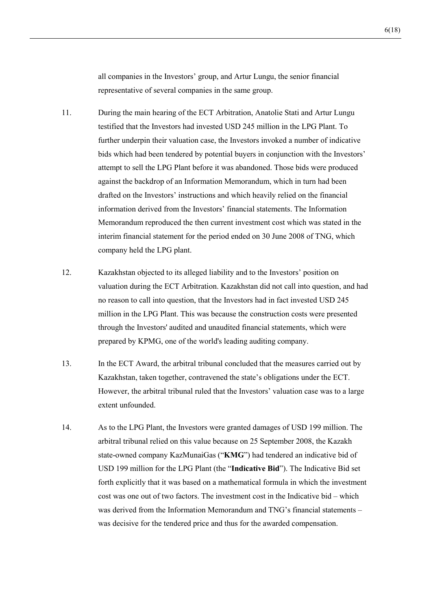all companies in the Investors' group, and Artur Lungu, the senior financial representative of several companies in the same group.

- 11. During the main hearing of the ECT Arbitration, Anatolie Stati and Artur Lungu testified that the Investors had invested USD 245 million in the LPG Plant. To further underpin their valuation case, the Investors invoked a number of indicative bids which had been tendered by potential buyers in conjunction with the Investors' attempt to sell the LPG Plant before it was abandoned. Those bids were produced against the backdrop of an Information Memorandum, which in turn had been drafted on the Investors' instructions and which heavily relied on the financial information derived from the Investors' financial statements. The Information Memorandum reproduced the then current investment cost which was stated in the interim financial statement for the period ended on 30 June 2008 of TNG, which company held the LPG plant.
- 12. Kazakhstan objected to its alleged liability and to the Investors' position on valuation during the ECT Arbitration. Kazakhstan did not call into question, and had no reason to call into question, that the Investors had in fact invested USD 245 million in the LPG Plant. This was because the construction costs were presented through the Investors' audited and unaudited financial statements, which were prepared by KPMG, one of the world's leading auditing company.
- 13. In the ECT Award, the arbitral tribunal concluded that the measures carried out by Kazakhstan, taken together, contravened the state's obligations under the ECT. However, the arbitral tribunal ruled that the Investors' valuation case was to a large extent unfounded.
- 14. As to the LPG Plant, the Investors were granted damages of USD 199 million. The arbitral tribunal relied on this value because on 25 September 2008, the Kazakh state-owned company KazMunaiGas ("**KMG**") had tendered an indicative bid of USD 199 million for the LPG Plant (the "**Indicative Bid**"). The Indicative Bid set forth explicitly that it was based on a mathematical formula in which the investment cost was one out of two factors. The investment cost in the Indicative bid – which was derived from the Information Memorandum and TNG's financial statements – was decisive for the tendered price and thus for the awarded compensation.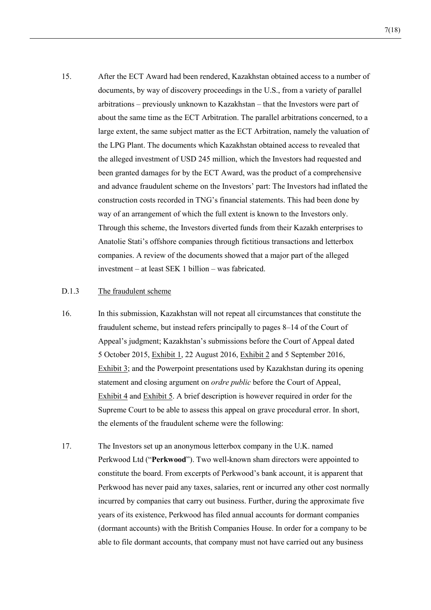15. After the ECT Award had been rendered, Kazakhstan obtained access to a number of documents, by way of discovery proceedings in the U.S., from a variety of parallel arbitrations – previously unknown to Kazakhstan – that the Investors were part of about the same time as the ECT Arbitration. The parallel arbitrations concerned, to a large extent, the same subject matter as the ECT Arbitration, namely the valuation of the LPG Plant. The documents which Kazakhstan obtained access to revealed that the alleged investment of USD 245 million, which the Investors had requested and been granted damages for by the ECT Award, was the product of a comprehensive and advance fraudulent scheme on the Investors' part: The Investors had inflated the construction costs recorded in TNG's financial statements. This had been done by way of an arrangement of which the full extent is known to the Investors only. Through this scheme, the Investors diverted funds from their Kazakh enterprises to Anatolie Stati's offshore companies through fictitious transactions and letterbox companies. A review of the documents showed that a major part of the alleged investment – at least SEK 1 billion – was fabricated.

#### D.1.3 The fraudulent scheme

- 16. In this submission, Kazakhstan will not repeat all circumstances that constitute the fraudulent scheme, but instead refers principally to pages 8–14 of the Court of Appeal's judgment; Kazakhstan's submissions before the Court of Appeal dated 5 October 2015, Exhibit 1, 22 August 2016, Exhibit 2 and 5 September 2016, Exhibit 3; and the Powerpoint presentations used by Kazakhstan during its opening statement and closing argument on *ordre public* before the Court of Appeal, Exhibit 4 and Exhibit 5. A brief description is however required in order for the Supreme Court to be able to assess this appeal on grave procedural error. In short, the elements of the fraudulent scheme were the following:
- 17. The Investors set up an anonymous letterbox company in the U.K. named Perkwood Ltd ("**Perkwood**"). Two well-known sham directors were appointed to constitute the board. From excerpts of Perkwood's bank account, it is apparent that Perkwood has never paid any taxes, salaries, rent or incurred any other cost normally incurred by companies that carry out business. Further, during the approximate five years of its existence, Perkwood has filed annual accounts for dormant companies (dormant accounts) with the British Companies House. In order for a company to be able to file dormant accounts, that company must not have carried out any business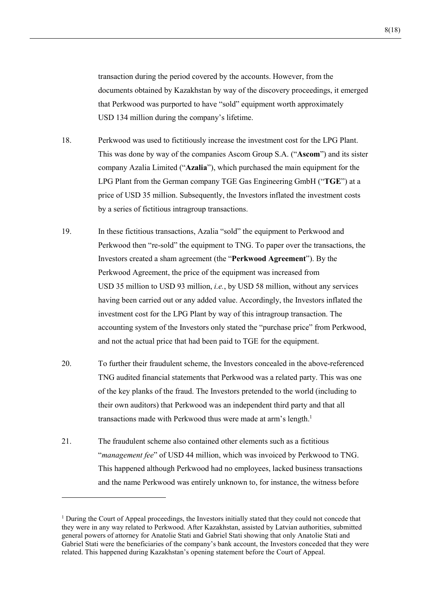transaction during the period covered by the accounts. However, from the documents obtained by Kazakhstan by way of the discovery proceedings, it emerged that Perkwood was purported to have "sold" equipment worth approximately USD 134 million during the company's lifetime.

- 18. Perkwood was used to fictitiously increase the investment cost for the LPG Plant. This was done by way of the companies Ascom Group S.A. ("**Ascom**") and its sister company Azalia Limited ("**Azalia**"), which purchased the main equipment for the LPG Plant from the German company TGE Gas Engineering GmbH ("**TGE**") at a price of USD 35 million. Subsequently, the Investors inflated the investment costs by a series of fictitious intragroup transactions.
- 19. In these fictitious transactions, Azalia "sold" the equipment to Perkwood and Perkwood then "re-sold" the equipment to TNG. To paper over the transactions, the Investors created a sham agreement (the "**Perkwood Agreement**"). By the Perkwood Agreement, the price of the equipment was increased from USD 35 million to USD 93 million, *i.e.*, by USD 58 million, without any services having been carried out or any added value. Accordingly, the Investors inflated the investment cost for the LPG Plant by way of this intragroup transaction. The accounting system of the Investors only stated the "purchase price" from Perkwood, and not the actual price that had been paid to TGE for the equipment.
- 20. To further their fraudulent scheme, the Investors concealed in the above-referenced TNG audited financial statements that Perkwood was a related party. This was one of the key planks of the fraud. The Investors pretended to the world (including to their own auditors) that Perkwood was an independent third party and that all transactions made with Perkwood thus were made at arm's length.<sup>1</sup>
- 21. The fraudulent scheme also contained other elements such as a fictitious "*management fee*" of USD 44 million, which was invoiced by Perkwood to TNG. This happened although Perkwood had no employees, lacked business transactions and the name Perkwood was entirely unknown to, for instance, the witness before

 $\overline{a}$ 

<sup>&</sup>lt;sup>1</sup> During the Court of Appeal proceedings, the Investors initially stated that they could not concede that they were in any way related to Perkwood. After Kazakhstan, assisted by Latvian authorities, submitted general powers of attorney for Anatolie Stati and Gabriel Stati showing that only Anatolie Stati and Gabriel Stati were the beneficiaries of the company's bank account, the Investors conceded that they were related. This happened during Kazakhstan's opening statement before the Court of Appeal.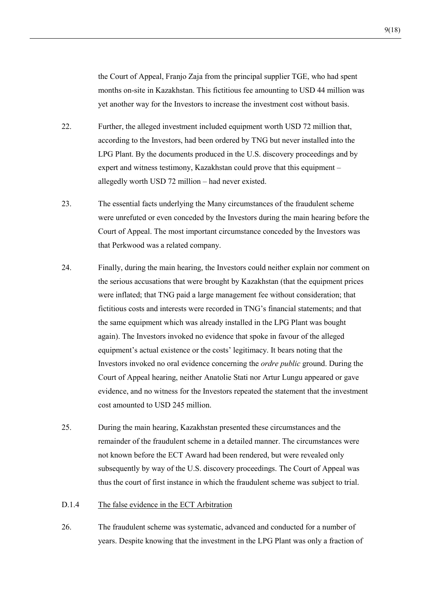the Court of Appeal, Franjo Zaja from the principal supplier TGE, who had spent months on-site in Kazakhstan. This fictitious fee amounting to USD 44 million was yet another way for the Investors to increase the investment cost without basis.

- 22. Further, the alleged investment included equipment worth USD 72 million that, according to the Investors, had been ordered by TNG but never installed into the LPG Plant. By the documents produced in the U.S. discovery proceedings and by expert and witness testimony, Kazakhstan could prove that this equipment – allegedly worth USD 72 million – had never existed.
- 23. The essential facts underlying the Many circumstances of the fraudulent scheme were unrefuted or even conceded by the Investors during the main hearing before the Court of Appeal. The most important circumstance conceded by the Investors was that Perkwood was a related company.
- 24. Finally, during the main hearing, the Investors could neither explain nor comment on the serious accusations that were brought by Kazakhstan (that the equipment prices were inflated; that TNG paid a large management fee without consideration; that fictitious costs and interests were recorded in TNG's financial statements; and that the same equipment which was already installed in the LPG Plant was bought again). The Investors invoked no evidence that spoke in favour of the alleged equipment's actual existence or the costs' legitimacy. It bears noting that the Investors invoked no oral evidence concerning the *ordre public* ground. During the Court of Appeal hearing, neither Anatolie Stati nor Artur Lungu appeared or gave evidence, and no witness for the Investors repeated the statement that the investment cost amounted to USD 245 million.
- 25. During the main hearing, Kazakhstan presented these circumstances and the remainder of the fraudulent scheme in a detailed manner. The circumstances were not known before the ECT Award had been rendered, but were revealed only subsequently by way of the U.S. discovery proceedings. The Court of Appeal was thus the court of first instance in which the fraudulent scheme was subject to trial.

#### D.1.4 The false evidence in the ECT Arbitration

26. The fraudulent scheme was systematic, advanced and conducted for a number of years. Despite knowing that the investment in the LPG Plant was only a fraction of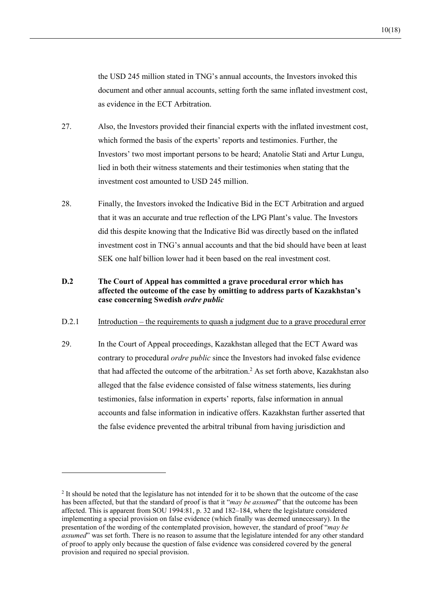the USD 245 million stated in TNG's annual accounts, the Investors invoked this document and other annual accounts, setting forth the same inflated investment cost, as evidence in the ECT Arbitration.

- 27. Also, the Investors provided their financial experts with the inflated investment cost, which formed the basis of the experts' reports and testimonies. Further, the Investors' two most important persons to be heard; Anatolie Stati and Artur Lungu, lied in both their witness statements and their testimonies when stating that the investment cost amounted to USD 245 million.
- 28. Finally, the Investors invoked the Indicative Bid in the ECT Arbitration and argued that it was an accurate and true reflection of the LPG Plant's value. The Investors did this despite knowing that the Indicative Bid was directly based on the inflated investment cost in TNG's annual accounts and that the bid should have been at least SEK one half billion lower had it been based on the real investment cost.

#### **D.2 The Court of Appeal has committed a grave procedural error which has affected the outcome of the case by omitting to address parts of Kazakhstan's case concerning Swedish** *ordre public*

#### D.2.1 Introduction – the requirements to quash a judgment due to a grave procedural error

29. In the Court of Appeal proceedings, Kazakhstan alleged that the ECT Award was contrary to procedural *ordre public* since the Investors had invoked false evidence that had affected the outcome of the arbitration.<sup>2</sup> As set forth above, Kazakhstan also alleged that the false evidence consisted of false witness statements, lies during testimonies, false information in experts' reports, false information in annual accounts and false information in indicative offers. Kazakhstan further asserted that the false evidence prevented the arbitral tribunal from having jurisdiction and

<sup>&</sup>lt;sup>2</sup> It should be noted that the legislature has not intended for it to be shown that the outcome of the case has been affected, but that the standard of proof is that it "*may be assumed*" that the outcome has been affected. This is apparent from SOU 1994:81, p. 32 and 182–184, where the legislature considered implementing a special provision on false evidence (which finally was deemed unnecessary). In the presentation of the wording of the contemplated provision, however, the standard of proof "*may be assumed*" was set forth. There is no reason to assume that the legislature intended for any other standard of proof to apply only because the question of false evidence was considered covered by the general provision and required no special provision.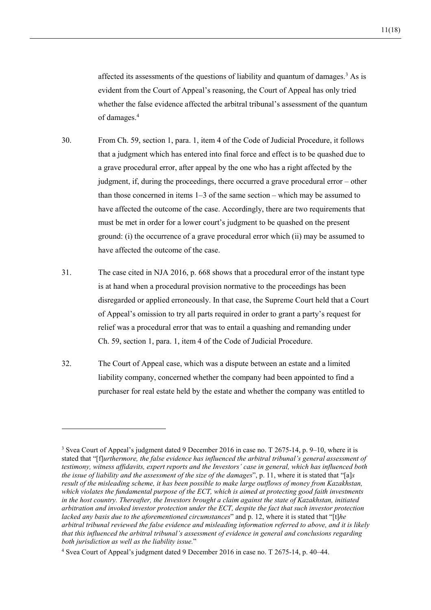affected its assessments of the questions of liability and quantum of damages.<sup>3</sup> As is evident from the Court of Appeal's reasoning, the Court of Appeal has only tried whether the false evidence affected the arbitral tribunal's assessment of the quantum of damages.4

- 30. From Ch. 59, section 1, para. 1, item 4 of the Code of Judicial Procedure, it follows that a judgment which has entered into final force and effect is to be quashed due to a grave procedural error, after appeal by the one who has a right affected by the judgment, if, during the proceedings, there occurred a grave procedural error – other than those concerned in items 1–3 of the same section – which may be assumed to have affected the outcome of the case. Accordingly, there are two requirements that must be met in order for a lower court's judgment to be quashed on the present ground: (i) the occurrence of a grave procedural error which (ii) may be assumed to have affected the outcome of the case.
- 31. The case cited in NJA 2016, p. 668 shows that a procedural error of the instant type is at hand when a procedural provision normative to the proceedings has been disregarded or applied erroneously. In that case, the Supreme Court held that a Court of Appeal's omission to try all parts required in order to grant a party's request for relief was a procedural error that was to entail a quashing and remanding under Ch. 59, section 1, para. 1, item 4 of the Code of Judicial Procedure.
- 32. The Court of Appeal case, which was a dispute between an estate and a limited liability company, concerned whether the company had been appointed to find a purchaser for real estate held by the estate and whether the company was entitled to

<sup>&</sup>lt;sup>3</sup> Svea Court of Appeal's judgment dated 9 December 2016 in case no. T 2675-14, p. 9–10, where it is stated that "[f]*urthermore, the false evidence has influenced the arbitral tribunal's general assessment of testimony, witness affidavits, expert reports and the Investors' case in general, which has influenced both the issue of liability and the assessment of the size of the damages*", p. 11, where it is stated that "[a]*s result of the misleading scheme, it has been possible to make large outflows of money from Kazakhstan, which violates the fundamental purpose of the ECT, which is aimed at protecting good faith investments in the host country. Thereafter, the Investors brought a claim against the state of Kazakhstan, initiated arbitration and invoked investor protection under the ECT, despite the fact that such investor protection lacked any basis due to the aforementioned circumstances*" and p. 12, where it is stated that "[t]*he arbitral tribunal reviewed the false evidence and misleading information referred to above, and it is likely that this influenced the arbitral tribunal's assessment of evidence in general and conclusions regarding both jurisdiction as well as the liability issue.*"

<sup>4</sup> Svea Court of Appeal's judgment dated 9 December 2016 in case no. T 2675-14, p. 40–44.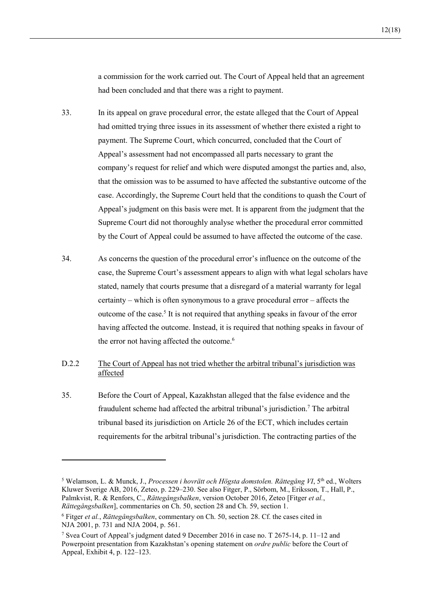a commission for the work carried out. The Court of Appeal held that an agreement had been concluded and that there was a right to payment.

- 33. In its appeal on grave procedural error, the estate alleged that the Court of Appeal had omitted trying three issues in its assessment of whether there existed a right to payment. The Supreme Court, which concurred, concluded that the Court of Appeal's assessment had not encompassed all parts necessary to grant the company's request for relief and which were disputed amongst the parties and, also, that the omission was to be assumed to have affected the substantive outcome of the case. Accordingly, the Supreme Court held that the conditions to quash the Court of Appeal's judgment on this basis were met. It is apparent from the judgment that the Supreme Court did not thoroughly analyse whether the procedural error committed by the Court of Appeal could be assumed to have affected the outcome of the case.
- 34. As concerns the question of the procedural error's influence on the outcome of the case, the Supreme Court's assessment appears to align with what legal scholars have stated, namely that courts presume that a disregard of a material warranty for legal certainty – which is often synonymous to a grave procedural error – affects the outcome of the case.<sup>5</sup> It is not required that anything speaks in favour of the error having affected the outcome. Instead, it is required that nothing speaks in favour of the error not having affected the outcome.<sup>6</sup>

#### D.2.2 The Court of Appeal has not tried whether the arbitral tribunal's jurisdiction was affected

35. Before the Court of Appeal, Kazakhstan alleged that the false evidence and the fraudulent scheme had affected the arbitral tribunal's jurisdiction.<sup>7</sup> The arbitral tribunal based its jurisdiction on Article 26 of the ECT, which includes certain requirements for the arbitral tribunal's jurisdiction. The contracting parties of the

 $\overline{a}$ 

<sup>&</sup>lt;sup>5</sup> Welamson, L. & Munck, J., *Processen i hovrätt och Högsta domstolen. Rättegång VI*, 5<sup>th</sup> ed., Wolters Kluwer Sverige AB, 2016, Zeteo, p. 229–230. See also Fitger, P., Sörbom, M., Eriksson, T., Hall, P., Palmkvist, R. & Renfors, C., *Rättegångsbalken*, version October 2016, Zeteo [Fitger *et al.*, *Rättegångsbalken*], commentaries on Ch. 50, section 28 and Ch. 59, section 1.

<sup>6</sup> Fitger *et al.*, *Rättegångsbalken*, commentary on Ch. 50, section 28. Cf. the cases cited in NJA 2001, p. 731 and NJA 2004, p. 561.

<sup>7</sup> Svea Court of Appeal's judgment dated 9 December 2016 in case no. T 2675-14, p. 11–12 and Powerpoint presentation from Kazakhstan's opening statement on *ordre public* before the Court of Appeal, Exhibit 4, p. 122–123.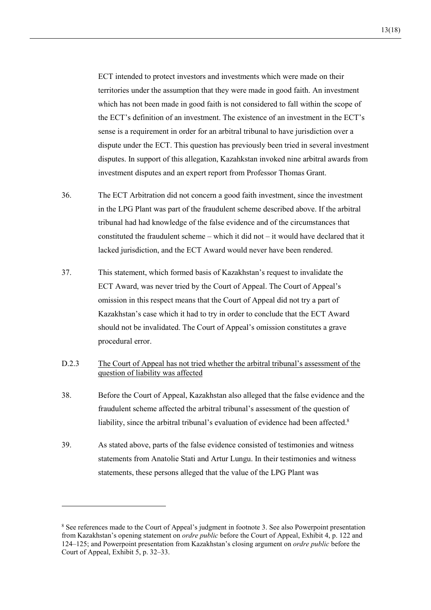ECT intended to protect investors and investments which were made on their territories under the assumption that they were made in good faith. An investment which has not been made in good faith is not considered to fall within the scope of the ECT's definition of an investment. The existence of an investment in the ECT's sense is a requirement in order for an arbitral tribunal to have jurisdiction over a dispute under the ECT. This question has previously been tried in several investment disputes. In support of this allegation, Kazahkstan invoked nine arbitral awards from investment disputes and an expert report from Professor Thomas Grant.

- 36. The ECT Arbitration did not concern a good faith investment, since the investment in the LPG Plant was part of the fraudulent scheme described above. If the arbitral tribunal had had knowledge of the false evidence and of the circumstances that constituted the fraudulent scheme – which it did not – it would have declared that it lacked jurisdiction, and the ECT Award would never have been rendered.
- 37. This statement, which formed basis of Kazakhstan's request to invalidate the ECT Award, was never tried by the Court of Appeal. The Court of Appeal's omission in this respect means that the Court of Appeal did not try a part of Kazakhstan's case which it had to try in order to conclude that the ECT Award should not be invalidated. The Court of Appeal's omission constitutes a grave procedural error.
- D.2.3 The Court of Appeal has not tried whether the arbitral tribunal's assessment of the question of liability was affected
- 38. Before the Court of Appeal, Kazakhstan also alleged that the false evidence and the fraudulent scheme affected the arbitral tribunal's assessment of the question of liability, since the arbitral tribunal's evaluation of evidence had been affected.<sup>8</sup>
- 39. As stated above, parts of the false evidence consisted of testimonies and witness statements from Anatolie Stati and Artur Lungu. In their testimonies and witness statements, these persons alleged that the value of the LPG Plant was

<sup>&</sup>lt;sup>8</sup> See references made to the Court of Appeal's judgment in footnote 3. See also Powerpoint presentation from Kazakhstan's opening statement on *ordre public* before the Court of Appeal, Exhibit 4, p. 122 and 124–125; and Powerpoint presentation from Kazakhstan's closing argument on *ordre public* before the Court of Appeal, Exhibit 5, p. 32–33.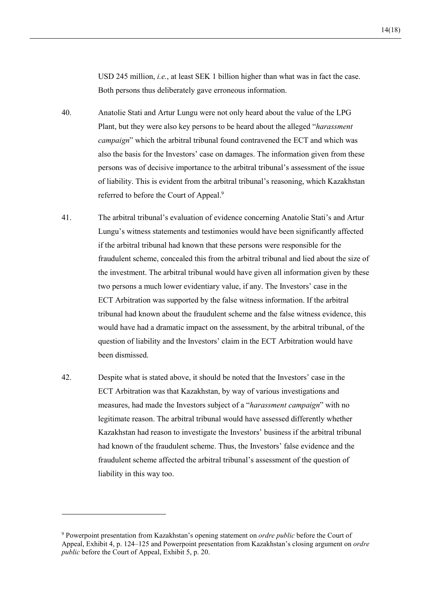14(18)

USD 245 million, *i.e.*, at least SEK 1 billion higher than what was in fact the case. Both persons thus deliberately gave erroneous information.

- 40. Anatolie Stati and Artur Lungu were not only heard about the value of the LPG Plant, but they were also key persons to be heard about the alleged "*harassment campaign*" which the arbitral tribunal found contravened the ECT and which was also the basis for the Investors' case on damages. The information given from these persons was of decisive importance to the arbitral tribunal's assessment of the issue of liability. This is evident from the arbitral tribunal's reasoning, which Kazakhstan referred to before the Court of Appeal.9
- 41. The arbitral tribunal's evaluation of evidence concerning Anatolie Stati's and Artur Lungu's witness statements and testimonies would have been significantly affected if the arbitral tribunal had known that these persons were responsible for the fraudulent scheme, concealed this from the arbitral tribunal and lied about the size of the investment. The arbitral tribunal would have given all information given by these two persons a much lower evidentiary value, if any. The Investors' case in the ECT Arbitration was supported by the false witness information. If the arbitral tribunal had known about the fraudulent scheme and the false witness evidence, this would have had a dramatic impact on the assessment, by the arbitral tribunal, of the question of liability and the Investors' claim in the ECT Arbitration would have been dismissed.
- 42. Despite what is stated above, it should be noted that the Investors' case in the ECT Arbitration was that Kazakhstan, by way of various investigations and measures, had made the Investors subject of a "*harassment campaign*" with no legitimate reason. The arbitral tribunal would have assessed differently whether Kazakhstan had reason to investigate the Investors' business if the arbitral tribunal had known of the fraudulent scheme. Thus, the Investors' false evidence and the fraudulent scheme affected the arbitral tribunal's assessment of the question of liability in this way too.

 $\overline{a}$ 

<sup>9</sup> Powerpoint presentation from Kazakhstan's opening statement on *ordre public* before the Court of Appeal, Exhibit 4, p. 124–125 and Powerpoint presentation from Kazakhstan's closing argument on *ordre public* before the Court of Appeal, Exhibit 5, p. 20.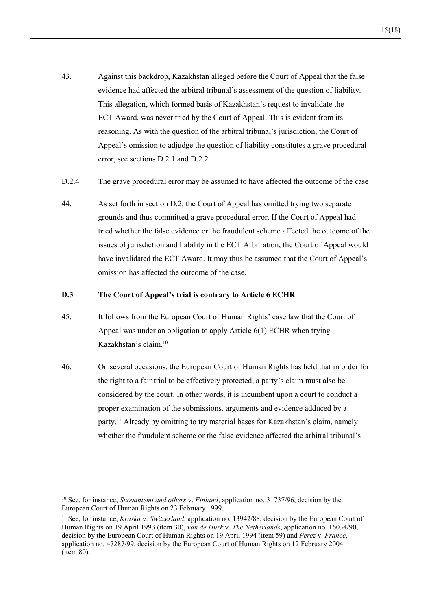43. Against this backdrop, Kazakhstan alleged before the Court of Appeal that the false evidence had affected the arbitral tribunal's assessment of the question of liability. This allegation, which formed basis of Kazakhstan's request to invalidate the ECT Award, was never tried by the Court of Appeal. This is evident from its reasoning. As with the question of the arbitral tribunal's jurisdiction, the Court of Appeal's omission to adjudge the question of liability constitutes a grave procedural error, see sections D.2.1 and D.2.2.

#### D.2.4 The grave procedural error may be assumed to have affected the outcome of the case

44. As set forth in section D.2, the Court of Appeal has omitted trying two separate grounds and thus committed a grave procedural error. If the Court of Appeal had tried whether the false evidence or the fraudulent scheme affected the outcome of the issues of jurisdiction and liability in the ECT Arbitration, the Court of Appeal would have invalidated the ECT Award. It may thus be assumed that the Court of Appeal's omission has affected the outcome of the case.

#### **D.3 The Court of Appeal's trial is contrary to Article 6 ECHR**

- 45. It follows from the European Court of Human Rights' case law that the Court of Appeal was under an obligation to apply Article 6(1) ECHR when trying Kazakhstan's claim.10
- 46. On several occasions, the European Court of Human Rights has held that in order for the right to a fair trial to be effectively protected, a party's claim must also be considered by the court. In other words, it is incumbent upon a court to conduct a proper examination of the submissions, arguments and evidence adduced by a party.11 Already by omitting to try material bases for Kazakhstan's claim, namely whether the fraudulent scheme or the false evidence affected the arbitral tribunal's

<sup>10</sup> See, for instance, *Suovaniemi and others* v. *Finland*, application no. 31737/96, decision by the European Court of Human Rights on 23 February 1999.

<sup>11</sup> See, for instance, *Kraska* v. *Switzerland*, application no. 13942/88, decision by the European Court of Human Rights on 19 April 1993 (item 30), *van de Hurk* v. *The Netherlands*, application no. 16034/90, decision by the European Court of Human Rights on 19 April 1994 (item 59) and *Perez* v. *France*, application no. 47287/99, decision by the European Court of Human Rights on 12 February 2004 (item 80).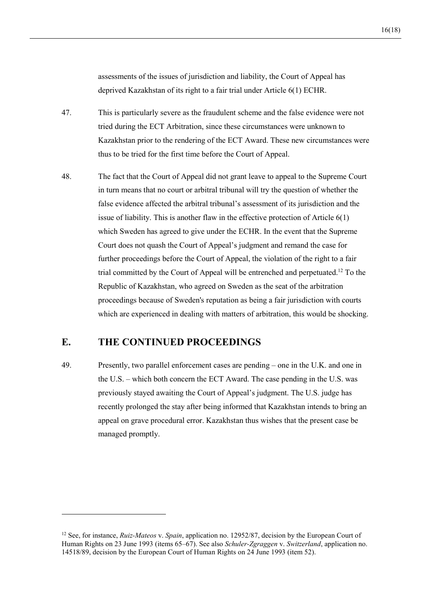deprived Kazakhstan of its right to a fair trial under Article 6(1) ECHR.

- 47. This is particularly severe as the fraudulent scheme and the false evidence were not tried during the ECT Arbitration, since these circumstances were unknown to Kazakhstan prior to the rendering of the ECT Award. These new circumstances were thus to be tried for the first time before the Court of Appeal.
- 48. The fact that the Court of Appeal did not grant leave to appeal to the Supreme Court in turn means that no court or arbitral tribunal will try the question of whether the false evidence affected the arbitral tribunal's assessment of its jurisdiction and the issue of liability. This is another flaw in the effective protection of Article 6(1) which Sweden has agreed to give under the ECHR. In the event that the Supreme Court does not quash the Court of Appeal's judgment and remand the case for further proceedings before the Court of Appeal, the violation of the right to a fair trial committed by the Court of Appeal will be entrenched and perpetuated.12 To the Republic of Kazakhstan, who agreed on Sweden as the seat of the arbitration proceedings because of Sweden's reputation as being a fair jurisdiction with courts which are experienced in dealing with matters of arbitration, this would be shocking.

## **E. THE CONTINUED PROCEEDINGS**

 $\overline{a}$ 

49. Presently, two parallel enforcement cases are pending – one in the U.K. and one in the U.S. – which both concern the ECT Award. The case pending in the U.S. was previously stayed awaiting the Court of Appeal's judgment. The U.S. judge has recently prolonged the stay after being informed that Kazakhstan intends to bring an appeal on grave procedural error. Kazakhstan thus wishes that the present case be managed promptly.

<sup>12</sup> See, for instance, *Ruiz-Mateos* v. *Spain*, application no. 12952/87, decision by the European Court of Human Rights on 23 June 1993 (items 65–67). See also *Schuler-Zgraggen* v. *Switzerland*, application no. 14518/89, decision by the European Court of Human Rights on 24 June 1993 (item 52).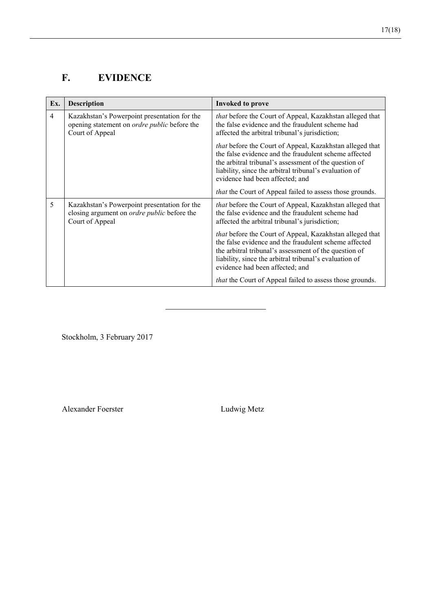# **F. EVIDENCE**

| Ex.            | Description                                                                                                            | <b>Invoked to prove</b>                                                                                                                                                                                                                                                 |
|----------------|------------------------------------------------------------------------------------------------------------------------|-------------------------------------------------------------------------------------------------------------------------------------------------------------------------------------------------------------------------------------------------------------------------|
| $\overline{4}$ | Kazakhstan's Powerpoint presentation for the<br>opening statement on <i>ordre public</i> before the<br>Court of Appeal | that before the Court of Appeal, Kazakhstan alleged that<br>the false evidence and the fraudulent scheme had<br>affected the arbitral tribunal's jurisdiction;                                                                                                          |
|                |                                                                                                                        | that before the Court of Appeal, Kazakhstan alleged that<br>the false evidence and the fraudulent scheme affected<br>the arbitral tribunal's assessment of the question of<br>liability, since the arbitral tribunal's evaluation of<br>evidence had been affected; and |
|                |                                                                                                                        | <i>that</i> the Court of Appeal failed to assess those grounds.                                                                                                                                                                                                         |
| 5              | Kazakhstan's Powerpoint presentation for the<br>closing argument on <i>ordre public</i> before the<br>Court of Appeal  | <i>that</i> before the Court of Appeal, Kazakhstan alleged that<br>the false evidence and the fraudulent scheme had<br>affected the arbitral tribunal's jurisdiction;                                                                                                   |
|                |                                                                                                                        | that before the Court of Appeal, Kazakhstan alleged that<br>the false evidence and the fraudulent scheme affected<br>the arbitral tribunal's assessment of the question of<br>liability, since the arbitral tribunal's evaluation of<br>evidence had been affected; and |
|                |                                                                                                                        | that the Court of Appeal failed to assess those grounds.                                                                                                                                                                                                                |

Stockholm, 3 February 2017

Alexander Foerster Ludwig Metz